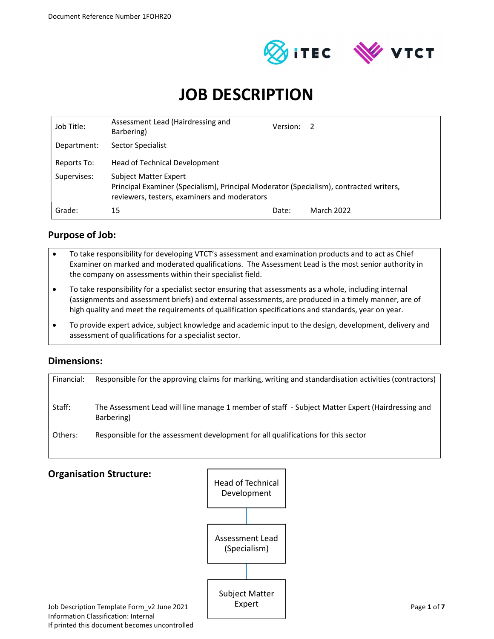



# JOB DESCRIPTION

| Job Title:  | Assessment Lead (Hairdressing and<br>Barbering)                                                                                                                 | Version: | -2         |
|-------------|-----------------------------------------------------------------------------------------------------------------------------------------------------------------|----------|------------|
| Department: | <b>Sector Specialist</b>                                                                                                                                        |          |            |
| Reports To: | <b>Head of Technical Development</b>                                                                                                                            |          |            |
| Supervises: | Subject Matter Expert<br>Principal Examiner (Specialism), Principal Moderator (Specialism), contracted writers,<br>reviewers, testers, examiners and moderators |          |            |
| Grade:      | 15                                                                                                                                                              | Date:    | March 2022 |

## Purpose of Job:

- To take responsibility for developing VTCT's assessment and examination products and to act as Chief Examiner on marked and moderated qualifications. The Assessment Lead is the most senior authority in the company on assessments within their specialist field.
- To take responsibility for a specialist sector ensuring that assessments as a whole, including internal (assignments and assessment briefs) and external assessments, are produced in a timely manner, are of high quality and meet the requirements of qualification specifications and standards, year on year.
- To provide expert advice, subject knowledge and academic input to the design, development, delivery and assessment of qualifications for a specialist sector.

## Dimensions:

| Financial: | Responsible for the approving claims for marking, writing and standardisation activities (contractors) |
|------------|--------------------------------------------------------------------------------------------------------|
|            |                                                                                                        |
| Staff:     | The Assessment Lead will line manage 1 member of staff - Subject Matter Expert (Hairdressing and       |
|            | Barbering)                                                                                             |
| Others:    | Responsible for the assessment development for all qualifications for this sector                      |
|            |                                                                                                        |

# Job Description Template Form v2 June 2021 Page 1 of 7 **Organisation Structure:** Pread of Technical Head of Technical<br>Development<br>Assessment Lead<br>(Specialism) Development Assessment Lead (Specialism) Subject Matter Expert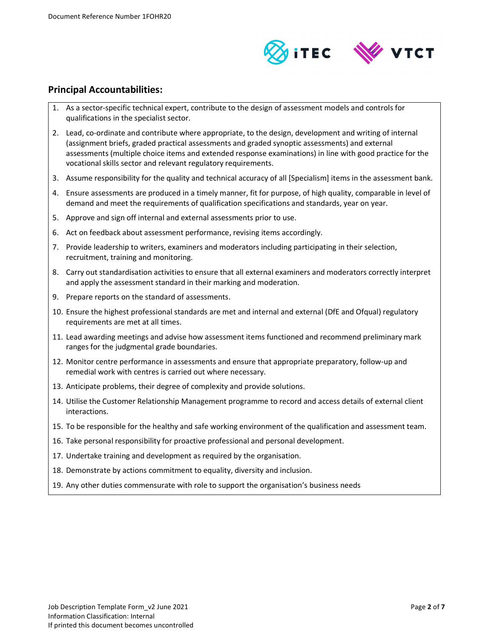

### Principal Accountabilities:

- 1. As a sector-specific technical expert, contribute to the design of assessment models and controls for qualifications in the specialist sector.
- 2. Lead, co-ordinate and contribute where appropriate, to the design, development and writing of internal (assignment briefs, graded practical assessments and graded synoptic assessments) and external assessments (multiple choice items and extended response examinations) in line with good practice for the vocational skills sector and relevant regulatory requirements.
- 3. Assume responsibility for the quality and technical accuracy of all [Specialism] items in the assessment bank.
- 4. Ensure assessments are produced in a timely manner, fit for purpose, of high quality, comparable in level of demand and meet the requirements of qualification specifications and standards, year on year.
- 5. Approve and sign off internal and external assessments prior to use.
- 6. Act on feedback about assessment performance, revising items accordingly.
- 7. Provide leadership to writers, examiners and moderators including participating in their selection, recruitment, training and monitoring.
- 8. Carry out standardisation activities to ensure that all external examiners and moderators correctly interpret and apply the assessment standard in their marking and moderation.
- 9. Prepare reports on the standard of assessments.
- 10. Ensure the highest professional standards are met and internal and external (DfE and Ofqual) regulatory requirements are met at all times.
- 11. Lead awarding meetings and advise how assessment items functioned and recommend preliminary mark ranges for the judgmental grade boundaries.
- 12. Monitor centre performance in assessments and ensure that appropriate preparatory, follow-up and remedial work with centres is carried out where necessary.
- 13. Anticipate problems, their degree of complexity and provide solutions.
- 14. Utilise the Customer Relationship Management programme to record and access details of external client interactions.
- 15. To be responsible for the healthy and safe working environment of the qualification and assessment team.
- 16. Take personal responsibility for proactive professional and personal development.
- 17. Undertake training and development as required by the organisation.
- 18. Demonstrate by actions commitment to equality, diversity and inclusion.
- 19. Any other duties commensurate with role to support the organisation's business needs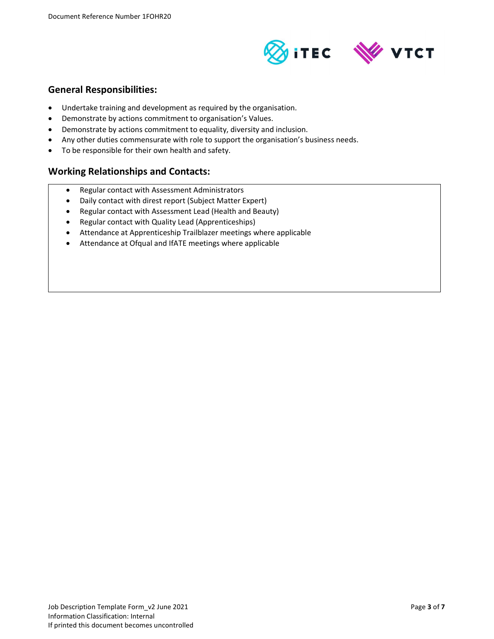

### General Responsibilities:

- Undertake training and development as required by the organisation.
- Demonstrate by actions commitment to organisation's Values.
- Demonstrate by actions commitment to equality, diversity and inclusion.
- Any other duties commensurate with role to support the organisation's business needs.
- To be responsible for their own health and safety.

### Working Relationships and Contacts:

- Regular contact with Assessment Administrators
- Daily contact with direst report (Subject Matter Expert)
- Regular contact with Assessment Lead (Health and Beauty)
- Regular contact with Quality Lead (Apprenticeships)
- Attendance at Apprenticeship Trailblazer meetings where applicable
- Attendance at Ofqual and IfATE meetings where applicable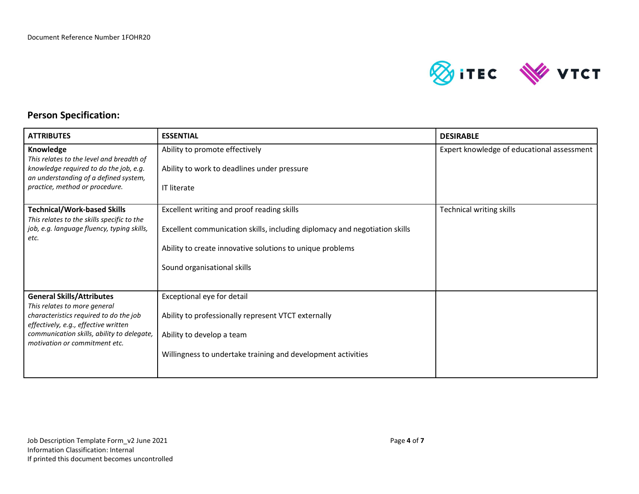

## Person Specification:

| <b>ATTRIBUTES</b>                                                                                                                                                                                                                 | <b>ESSENTIAL</b>                                                                                                                                                                                                     | <b>DESIRABLE</b>                           |
|-----------------------------------------------------------------------------------------------------------------------------------------------------------------------------------------------------------------------------------|----------------------------------------------------------------------------------------------------------------------------------------------------------------------------------------------------------------------|--------------------------------------------|
| Knowledge<br>This relates to the level and breadth of<br>knowledge required to do the job, e.g.<br>an understanding of a defined system,<br>practice, method or procedure.                                                        | Ability to promote effectively<br>Ability to work to deadlines under pressure<br><b>IT literate</b>                                                                                                                  | Expert knowledge of educational assessment |
| <b>Technical/Work-based Skills</b><br>This relates to the skills specific to the<br>job, e.g. language fluency, typing skills,<br>etc.                                                                                            | Excellent writing and proof reading skills<br>Excellent communication skills, including diplomacy and negotiation skills<br>Ability to create innovative solutions to unique problems<br>Sound organisational skills | <b>Technical writing skills</b>            |
| <b>General Skills/Attributes</b><br>This relates to more general<br>characteristics required to do the job<br>effectively, e.g., effective written<br>communication skills, ability to delegate,<br>motivation or commitment etc. | Exceptional eye for detail<br>Ability to professionally represent VTCT externally<br>Ability to develop a team<br>Willingness to undertake training and development activities                                       |                                            |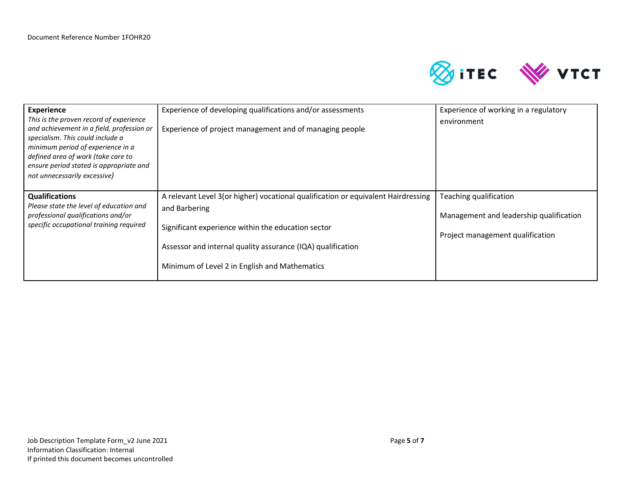

| <b>Experience</b><br>This is the proven record of experience<br>and achievement in a field, profession or<br>specialism. This could include a<br>minimum period of experience in a<br>defined area of work (take care to<br>ensure period stated is appropriate and<br>not unnecessarily excessive) | Experience of developing qualifications and/or assessments<br>Experience of project management and of managing people                                                                                                                                                    | Experience of working in a regulatory<br>environment                                                  |
|-----------------------------------------------------------------------------------------------------------------------------------------------------------------------------------------------------------------------------------------------------------------------------------------------------|--------------------------------------------------------------------------------------------------------------------------------------------------------------------------------------------------------------------------------------------------------------------------|-------------------------------------------------------------------------------------------------------|
| <b>Qualifications</b><br>Please state the level of education and<br>professional qualifications and/or<br>specific occupational training required                                                                                                                                                   | A relevant Level 3(or higher) vocational qualification or equivalent Hairdressing<br>and Barbering<br>Significant experience within the education sector<br>Assessor and internal quality assurance (IQA) qualification<br>Minimum of Level 2 in English and Mathematics | Teaching qualification<br>Management and leadership qualification<br>Project management qualification |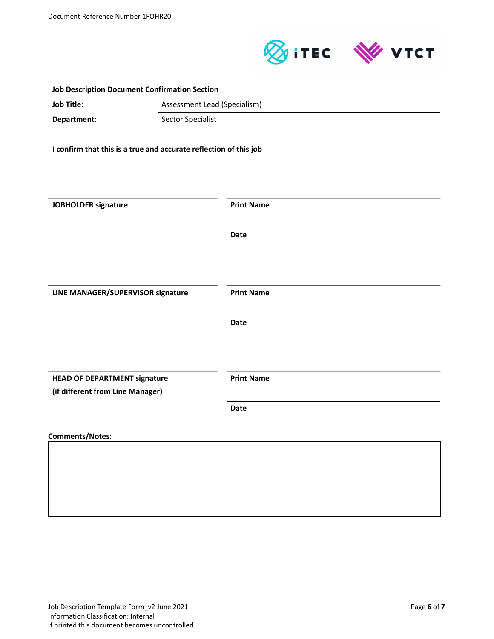

| <b>Job Description Document Confirmation Section</b> |                                                                   |                              |  |
|------------------------------------------------------|-------------------------------------------------------------------|------------------------------|--|
| <b>Job Title:</b>                                    |                                                                   | Assessment Lead (Specialism) |  |
| Department:                                          |                                                                   | <b>Sector Specialist</b>     |  |
|                                                      | I confirm that this is a true and accurate reflection of this job |                              |  |
|                                                      |                                                                   |                              |  |
|                                                      |                                                                   |                              |  |
| JOBHOLDER signature                                  |                                                                   | <b>Print Name</b>            |  |
|                                                      |                                                                   | <b>Date</b>                  |  |
|                                                      |                                                                   |                              |  |
| LINE MANAGER/SUPERVISOR signature                    |                                                                   | <b>Print Name</b>            |  |
|                                                      |                                                                   | Date                         |  |
|                                                      |                                                                   |                              |  |
| <b>HEAD OF DEPARTMENT signature</b>                  |                                                                   | <b>Print Name</b>            |  |
| (if different from Line Manager)                     |                                                                   | Date                         |  |
|                                                      |                                                                   |                              |  |
| <b>Comments/Notes:</b>                               |                                                                   |                              |  |
|                                                      |                                                                   |                              |  |